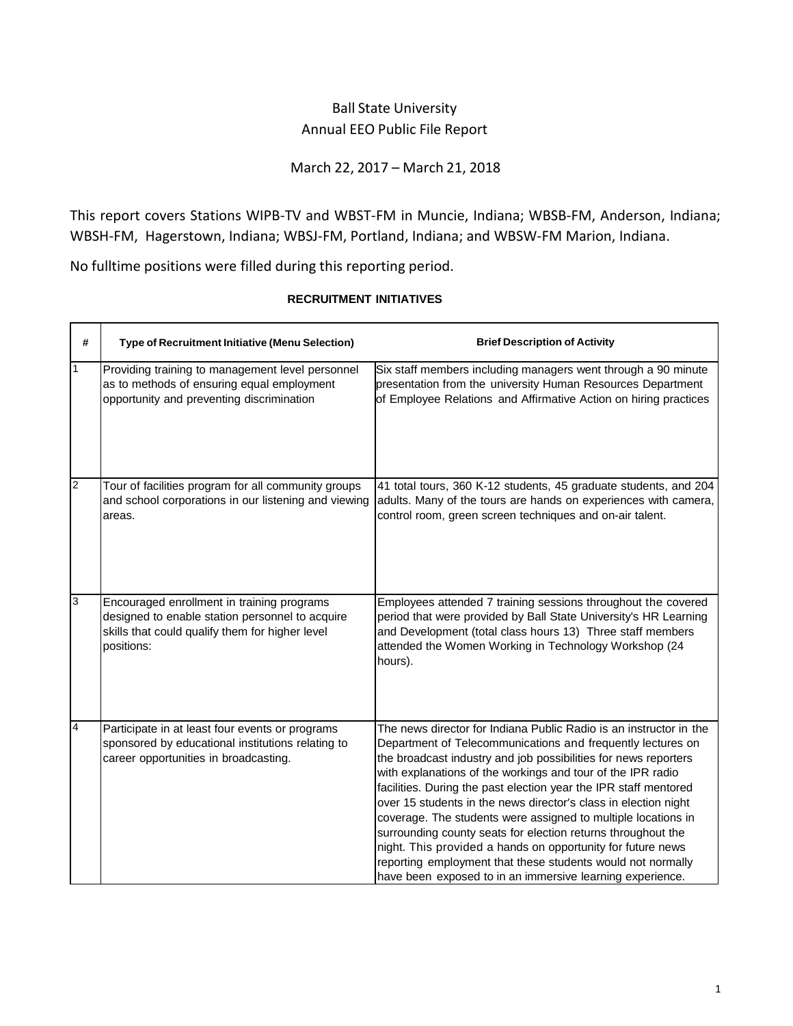## Ball State University Annual EEO Public File Report

## March 22, 2017 – March 21, 2018

This report covers Stations WIPB-TV and WBST-FM in Muncie, Indiana; WBSB-FM, Anderson, Indiana; WBSH-FM, Hagerstown, Indiana; WBSJ-FM, Portland, Indiana; and WBSW-FM Marion, Indiana.

No fulltime positions were filled during this reporting period.

| #              | <b>Type of Recruitment Initiative (Menu Selection)</b>                                                                                                         | <b>Brief Description of Activity</b>                                                                                                                                                                                                                                                                                                                                                                                                                                                                                                                                                                                                                                                                                                   |
|----------------|----------------------------------------------------------------------------------------------------------------------------------------------------------------|----------------------------------------------------------------------------------------------------------------------------------------------------------------------------------------------------------------------------------------------------------------------------------------------------------------------------------------------------------------------------------------------------------------------------------------------------------------------------------------------------------------------------------------------------------------------------------------------------------------------------------------------------------------------------------------------------------------------------------------|
|                | Providing training to management level personnel<br>as to methods of ensuring equal employment<br>opportunity and preventing discrimination                    | Six staff members including managers went through a 90 minute<br>presentation from the university Human Resources Department<br>of Employee Relations and Affirmative Action on hiring practices                                                                                                                                                                                                                                                                                                                                                                                                                                                                                                                                       |
| $\overline{2}$ | Tour of facilities program for all community groups<br>and school corporations in our listening and viewing<br>areas.                                          | 41 total tours, 360 K-12 students, 45 graduate students, and 204<br>adults. Many of the tours are hands on experiences with camera,<br>control room, green screen techniques and on-air talent.                                                                                                                                                                                                                                                                                                                                                                                                                                                                                                                                        |
| 3              | Encouraged enrollment in training programs<br>designed to enable station personnel to acquire<br>skills that could qualify them for higher level<br>positions: | Employees attended 7 training sessions throughout the covered<br>period that were provided by Ball State University's HR Learning<br>and Development (total class hours 13) Three staff members<br>attended the Women Working in Technology Workshop (24<br>hours).                                                                                                                                                                                                                                                                                                                                                                                                                                                                    |
| $\overline{4}$ | Participate in at least four events or programs<br>sponsored by educational institutions relating to<br>career opportunities in broadcasting.                  | The news director for Indiana Public Radio is an instructor in the<br>Department of Telecommunications and frequently lectures on<br>the broadcast industry and job possibilities for news reporters<br>with explanations of the workings and tour of the IPR radio<br>facilities. During the past election year the IPR staff mentored<br>over 15 students in the news director's class in election night<br>coverage. The students were assigned to multiple locations in<br>surrounding county seats for election returns throughout the<br>night. This provided a hands on opportunity for future news<br>reporting employment that these students would not normally<br>have been exposed to in an immersive learning experience. |

## **RECRUITMENT INITIATIVES**